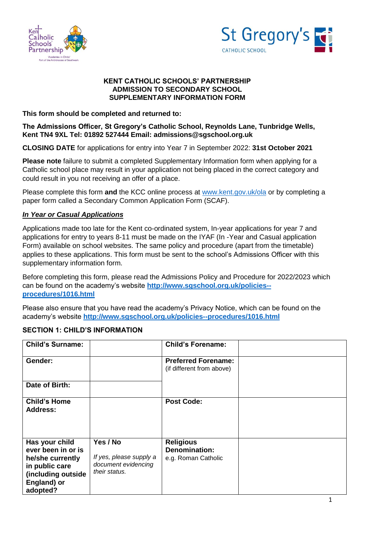



### **KENT CATHOLIC SCHOOLS' PARTNERSHIP ADMISSION TO SECONDARY SCHOOL SUPPLEMENTARY INFORMATION FORM**

**This form should be completed and returned to:**

# **The Admissions Officer, St Gregory's Catholic School, Reynolds Lane, Tunbridge Wells, Kent TN4 9XL Tel: 01892 527444 Email: admissions@sgschool.org.uk**

**CLOSING DATE** for applications for entry into Year 7 in September 2022: **31st October 2021**

**Please note** failure to submit a completed Supplementary Information form when applying for a Catholic school place may result in your application not being placed in the correct category and could result in you not receiving an offer of a place.

Please complete this form **and** the KCC online process at [www.kent.gov.uk/ola](http://www.kent.gov.uk/ola) or by completing a paper form called a Secondary Common Application Form (SCAF).

# *In Year or Casual Applications*

Applications made too late for the Kent co-ordinated system, In-year applications for year 7 and applications for entry to years 8-11 must be made on the IYAF (In -Year and Casual application Form) available on school websites. The same policy and procedure (apart from the timetable) applies to these applications. This form must be sent to the school's Admissions Officer with this supplementary information form.

Before completing this form, please read the Admissions Policy and Procedure for 2022/2023 which can be found on the academy's website **[http://www.sgschool.org.uk/policies-](http://www.sgschool.org.uk/policies--procedures/1016.html) [procedures/1016.html](http://www.sgschool.org.uk/policies--procedures/1016.html)**

Please also ensure that you have read the academy's Privacy Notice, which can be found on the academy's website **<http://www.sgschool.org.uk/policies--procedures/1016.html>**

# **SECTION 1: CHILD'S INFORMATION**

| <b>Child's Surname:</b>                                                                                                     |                                                                             | <b>Child's Forename:</b>                                        |  |
|-----------------------------------------------------------------------------------------------------------------------------|-----------------------------------------------------------------------------|-----------------------------------------------------------------|--|
| Gender:                                                                                                                     |                                                                             | <b>Preferred Forename:</b><br>(if different from above)         |  |
| Date of Birth:                                                                                                              |                                                                             |                                                                 |  |
| <b>Child's Home</b><br><b>Address:</b>                                                                                      |                                                                             | <b>Post Code:</b>                                               |  |
| Has your child<br>ever been in or is<br>he/she currently<br>in public care<br>(including outside<br>England) or<br>adopted? | Yes / No<br>If yes, please supply a<br>document evidencing<br>their status. | <b>Religious</b><br><b>Denomination:</b><br>e.g. Roman Catholic |  |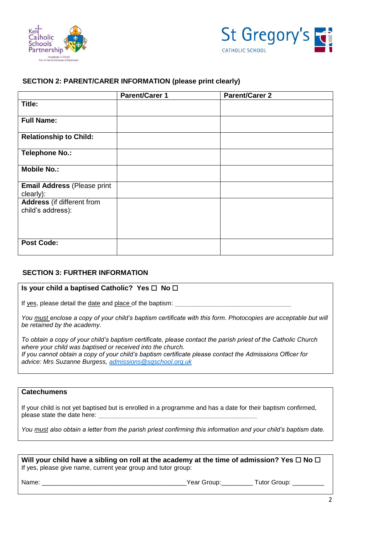



### **SECTION 2: PARENT/CARER INFORMATION (please print clearly)**

|                                                        | <b>Parent/Carer 1</b> | <b>Parent/Carer 2</b> |
|--------------------------------------------------------|-----------------------|-----------------------|
| Title:                                                 |                       |                       |
| <b>Full Name:</b>                                      |                       |                       |
| <b>Relationship to Child:</b>                          |                       |                       |
| <b>Telephone No.:</b>                                  |                       |                       |
| <b>Mobile No.:</b>                                     |                       |                       |
| <b>Email Address (Please print</b><br>clearly):        |                       |                       |
| <b>Address</b> (if different from<br>child's address): |                       |                       |
| <b>Post Code:</b>                                      |                       |                       |

#### **SECTION 3: FURTHER INFORMATION**

#### **Is your child a baptised Catholic? Yes** ☐ **No** ☐

If yes, please detail the date and place of the baptism:

*You must enclose a copy of your child's baptism certificate with this form. Photocopies are acceptable but will be retained by the academy.* 

*To obtain a copy of your child's baptism certificate, please contact the parish priest of the Catholic Church where your child was baptised or received into the church. If you cannot obtain a copy of your child's baptism certificate please contact the Admissions Officer for advice: Mrs Suzanne Burgess, [admissions@sgschool.org.uk](mailto:admissions@sgschool.org.uk)*

# **Catechumens**

If your child is not yet baptised but is enrolled in a programme and has a date for their baptism confirmed, please state the date here:

*You must also obtain a letter from the parish priest confirming this information and your child's baptism date.*

| Will your child have a sibling on roll at the academy at the time of admission? Yes $\square$ No $\square$ |  |
|------------------------------------------------------------------------------------------------------------|--|
| If yes, please give name, current year group and tutor group:                                              |  |

Name: \_\_\_\_\_\_\_\_\_\_\_\_\_\_\_\_\_\_\_\_\_\_\_\_\_\_\_\_\_\_\_\_\_\_\_\_\_\_\_\_\_Year Group:\_\_\_\_\_\_\_\_\_ Tutor Group: \_\_\_\_\_\_\_\_\_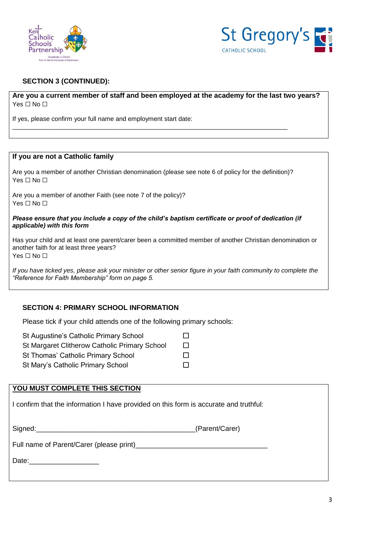



# **SECTION 3 (CONTINUED):**

**Are you a current member of staff and been employed at the academy for the last two years?**  Yes □ No □

If yes, please confirm your full name and employment start date:

#### **If you are not a Catholic family**

Are you a member of another Christian denomination (please see note 6 of policy for the definition)? Yes □ No □

\_\_\_\_\_\_\_\_\_\_\_\_\_\_\_\_\_\_\_\_\_\_\_\_\_\_\_\_\_\_\_\_\_\_\_\_\_\_\_\_\_\_\_\_\_\_\_\_\_\_\_\_\_\_\_\_\_\_\_\_\_\_\_\_\_\_\_\_\_\_\_\_\_\_\_\_\_\_

Are you a member of another Faith (see note 7 of the policy)? Yes □ No □

#### *Please ensure that you include a copy of the child's baptism certificate or proof of dedication (if applicable) with this form*

Has your child and at least one parent/carer been a committed member of another Christian denomination or another faith for at least three years? Yes □ No □

*If you have ticked yes, please ask your minister or other senior figure in your faith community to complete the "Reference for Faith Membership" form on page 5.*

#### **SECTION 4: PRIMARY SCHOOL INFORMATION**

Please tick if your child attends one of the following primary schools:

St Augustine's Catholic Primary School □

- St Margaret Clitherow Catholic Primary School □
- St Thomas' Catholic Primary School □
- St Mary's Catholic Primary School □

# **YOU MUST COMPLETE THIS SECTION**

I confirm that the information I have provided on this form is accurate and truthful:

| Signed: | (Parent/Carer) |
|---------|----------------|
|---------|----------------|

Full name of Parent/Carer (please print)

Date:\_\_\_\_\_\_\_\_\_\_\_\_\_\_\_\_\_\_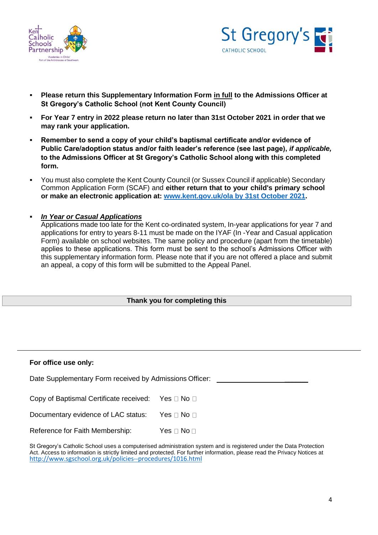



- **Please return this Supplementary Information Form in full to the Admissions Officer at St Gregory's Catholic School (not Kent County Council)**
- **For Year 7 entry in 2022 please return no later than 31st October 2021 in order that we may rank your application.**
- **Remember to send a copy of your child's baptismal certificate and/or evidence of Public Care/adoption status and/or faith leader's reference (see last page),** *if applicable,*  **to the Admissions Officer at St Gregory's Catholic School along with this completed form.**
- You must also complete the Kent County Council (or Sussex Council if applicable) Secondary Common Application Form (SCAF) and **either return that to your child's primary school or make an electronic application at: [www.kent.gov.uk/ola by 31st October 2021.](http://www.kent.gov.uk/ola%20by%2031st%20October%202021)**
- *In Year or Casual Applications*

Applications made too late for the Kent co-ordinated system, In-year applications for year 7 and applications for entry to years 8-11 must be made on the IYAF (In -Year and Casual application Form) available on school websites. The same policy and procedure (apart from the timetable) applies to these applications. This form must be sent to the school's Admissions Officer with this supplementary information form. Please note that if you are not offered a place and submit an appeal, a copy of this form will be submitted to the Appeal Panel.

#### **Thank you for completing this**

### **For office use only:**

Date Supplementary Form received by Admissions Officer:

Copy of Baptismal Certificate received: Yes  $\Box$  No  $\Box$ 

Documentary evidence of LAC status: Yes  $\Box$  No  $\Box$ 

Reference for Faith Membership:  $Yes \Box No \Box$ 

| St Gregory's Catholic School uses a computerised administration system and is registered under the Data Protection        |
|---------------------------------------------------------------------------------------------------------------------------|
| Act. Access to information is strictly limited and protected. For further information, please read the Privacy Notices at |
| http://www.sgschool.org.uk/policies--procedures/1016.html                                                                 |